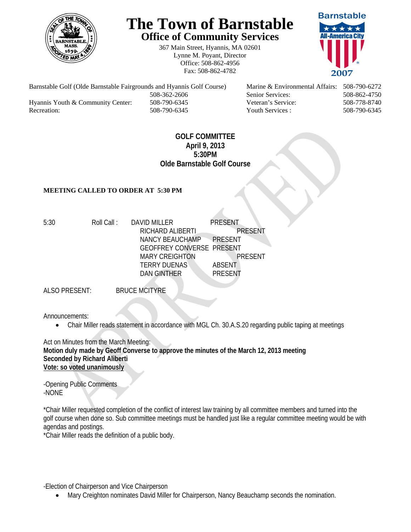

## **The Town of Barnstable Office of Community Services**

367 Main Street, Hyannis, MA 02601 Lynne M. Poyant, Director Office: 508-862-4956 Fax: 508-862-4782



Barnstable Golf (Olde Barnstable Fairgrounds and Hyannis Golf Course) Marine & Environmental Affairs: 508-790-6272 508-362-2606 Senior Services: 508-862-4750 Hyannis Youth & Community Center: 508-790-6345 Veteran's Service: 508-778-8740 Recreation: 508-790-6345 Youth Services : 508-790-6345 S08-790-6345

## **GOLF COMMITTEE April 9, 2013 5:30PM Olde Barnstable Golf Course**

## **MEETING CALLED TO ORDER AT 5:30 PM**

5:30 Roll Call : DAVID MILLER PRESENT RICHARD ALIBERTI PRESENT NANCY BEAUCHAMP PRESENT GEOFFREY CONVERSE PRESENT MARY CREIGHTON PRESENT TERRY DUENAS ABSENT DAN GINTHER PRESENT

ALSO PRESENT: BRUCE MCITYRE

Announcements:

Chair Miller reads statement in accordance with MGL Ch. 30.A.S.20 regarding public taping at meetings

Act on Minutes from the March Meeting: **Motion duly made by Geoff Converse to approve the minutes of the March 12, 2013 meeting Seconded by Richard Aliberti Vote: so voted unanimously** 

-Opening Public Comments -NONE

\*Chair Miller requested completion of the conflict of interest law training by all committee members and turned into the golf course when done so. Sub committee meetings must be handled just like a regular committee meeting would be with agendas and postings.

\*Chair Miller reads the definition of a public body.

-Election of Chairperson and Vice Chairperson

Mary Creighton nominates David Miller for Chairperson, Nancy Beauchamp seconds the nomination.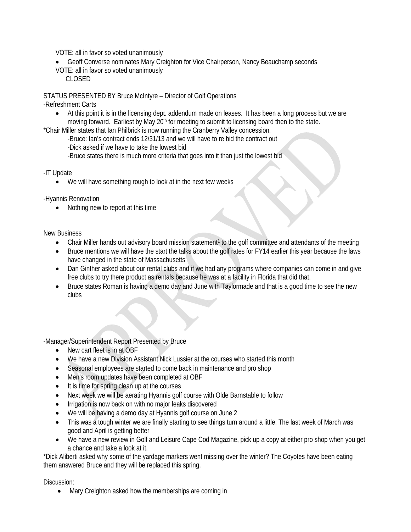VOTE: all in favor so voted unanimously

- Geoff Converse nominates Mary Creighton for Vice Chairperson, Nancy Beauchamp seconds
- VOTE: all in favor so voted unanimously
	- CLOSED

STATUS PRESENTED BY Bruce McIntyre – Director of Golf Operations

-Refreshment Carts

 At this point it is in the licensing dept. addendum made on leases. It has been a long process but we are moving forward. Earliest by May 20<sup>th</sup> for meeting to submit to licensing board then to the state.

\*Chair Miller states that Ian Philbrick is now running the Cranberry Valley concession.

-Bruce: Ian's contract ends 12/31/13 and we will have to re bid the contract out

-Dick asked if we have to take the lowest bid

-Bruce states there is much more criteria that goes into it than just the lowest bid

-IT Update

We will have something rough to look at in the next few weeks

-Hyannis Renovation

• Nothing new to report at this time

New Business

- Chair Miller hands out advisory board mission statement<sup>1</sup> to the golf committee and attendants of the meeting
- Bruce mentions we will have the start the talks about the golf rates for FY14 earlier this year because the laws have changed in the state of Massachusetts
- Dan Ginther asked about our rental clubs and if we had any programs where companies can come in and give free clubs to try there product as rentals because he was at a facility in Florida that did that.
- Bruce states Roman is having a demo day and June with Taylormade and that is a good time to see the new clubs

-Manager/Superintendent Report Presented by Bruce

- New cart fleet is in at OBF
- We have a new Division Assistant Nick Lussier at the courses who started this month
- Seasonal employees are started to come back in maintenance and pro shop
- Men's room updates have been completed at OBF
- It is time for spring clean up at the courses
- Next week we will be aerating Hyannis golf course with Olde Barnstable to follow
- Irrigation is now back on with no major leaks discovered
- We will be having a demo day at Hyannis golf course on June 2
- This was a tough winter we are finally starting to see things turn around a little. The last week of March was good and April is getting better
- We have a new review in Golf and Leisure Cape Cod Magazine, pick up a copy at either pro shop when you get a chance and take a look at it.

\*Dick Aliberti asked why some of the yardage markers went missing over the winter? The Coyotes have been eating them answered Bruce and they will be replaced this spring.

Discussion:

• Mary Creighton asked how the memberships are coming in